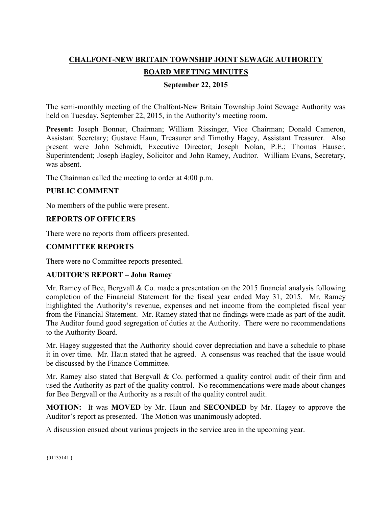# **CHALFONT-NEW BRITAIN TOWNSHIP JOINT SEWAGE AUTHORITY**

# **BOARD MEETING MINUTES**

## **September 22, 2015**

The semi-monthly meeting of the Chalfont-New Britain Township Joint Sewage Authority was held on Tuesday, September 22, 2015, in the Authority's meeting room.

**Present:** Joseph Bonner, Chairman; William Rissinger, Vice Chairman; Donald Cameron, Assistant Secretary; Gustave Haun, Treasurer and Timothy Hagey, Assistant Treasurer. Also present were John Schmidt, Executive Director; Joseph Nolan, P.E.; Thomas Hauser, Superintendent; Joseph Bagley, Solicitor and John Ramey, Auditor. William Evans, Secretary, was absent.

The Chairman called the meeting to order at 4:00 p.m.

## **PUBLIC COMMENT**

No members of the public were present.

## **REPORTS OF OFFICERS**

There were no reports from officers presented.

## **COMMITTEE REPORTS**

There were no Committee reports presented.

### **AUDITOR'S REPORT – John Ramey**

Mr. Ramey of Bee, Bergvall & Co. made a presentation on the 2015 financial analysis following completion of the Financial Statement for the fiscal year ended May 31, 2015. Mr. Ramey highlighted the Authority's revenue, expenses and net income from the completed fiscal year from the Financial Statement. Mr. Ramey stated that no findings were made as part of the audit. The Auditor found good segregation of duties at the Authority. There were no recommendations to the Authority Board.

Mr. Hagey suggested that the Authority should cover depreciation and have a schedule to phase it in over time. Mr. Haun stated that he agreed. A consensus was reached that the issue would be discussed by the Finance Committee.

Mr. Ramey also stated that Bergvall & Co. performed a quality control audit of their firm and used the Authority as part of the quality control. No recommendations were made about changes for Bee Bergvall or the Authority as a result of the quality control audit.

**MOTION:** It was **MOVED** by Mr. Haun and **SECONDED** by Mr. Hagey to approve the Auditor's report as presented. The Motion was unanimously adopted.

A discussion ensued about various projects in the service area in the upcoming year.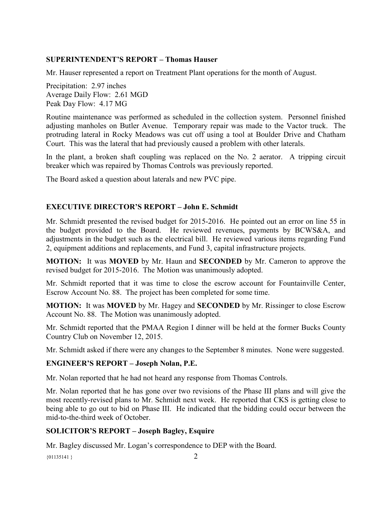## **SUPERINTENDENT'S REPORT – Thomas Hauser**

Mr. Hauser represented a report on Treatment Plant operations for the month of August.

Precipitation: 2.97 inches Average Daily Flow: 2.61 MGD Peak Day Flow: 4.17 MG

Routine maintenance was performed as scheduled in the collection system. Personnel finished adjusting manholes on Butler Avenue. Temporary repair was made to the Vactor truck. The protruding lateral in Rocky Meadows was cut off using a tool at Boulder Drive and Chatham Court. This was the lateral that had previously caused a problem with other laterals.

In the plant, a broken shaft coupling was replaced on the No. 2 aerator. A tripping circuit breaker which was repaired by Thomas Controls was previously reported.

The Board asked a question about laterals and new PVC pipe.

## **EXECUTIVE DIRECTOR'S REPORT – John E. Schmidt**

Mr. Schmidt presented the revised budget for 2015-2016. He pointed out an error on line 55 in the budget provided to the Board. He reviewed revenues, payments by BCWS&A, and adjustments in the budget such as the electrical bill. He reviewed various items regarding Fund 2, equipment additions and replacements, and Fund 3, capital infrastructure projects.

**MOTION:** It was **MOVED** by Mr. Haun and **SECONDED** by Mr. Cameron to approve the revised budget for 2015-2016. The Motion was unanimously adopted.

Mr. Schmidt reported that it was time to close the escrow account for Fountainville Center, Escrow Account No. 88. The project has been completed for some time.

**MOTION:** It was **MOVED** by Mr. Hagey and **SECONDED** by Mr. Rissinger to close Escrow Account No. 88. The Motion was unanimously adopted.

Mr. Schmidt reported that the PMAA Region I dinner will be held at the former Bucks County Country Club on November 12, 2015.

Mr. Schmidt asked if there were any changes to the September 8 minutes. None were suggested.

# **ENGINEER'S REPORT – Joseph Nolan, P.E.**

Mr. Nolan reported that he had not heard any response from Thomas Controls.

Mr. Nolan reported that he has gone over two revisions of the Phase III plans and will give the most recently-revised plans to Mr. Schmidt next week. He reported that CKS is getting close to being able to go out to bid on Phase III. He indicated that the bidding could occur between the mid-to-the-third week of October.

## **SOLICITOR'S REPORT – Joseph Bagley, Esquire**

Mr. Bagley discussed Mr. Logan's correspondence to DEP with the Board.

{ $01135141$  } 2